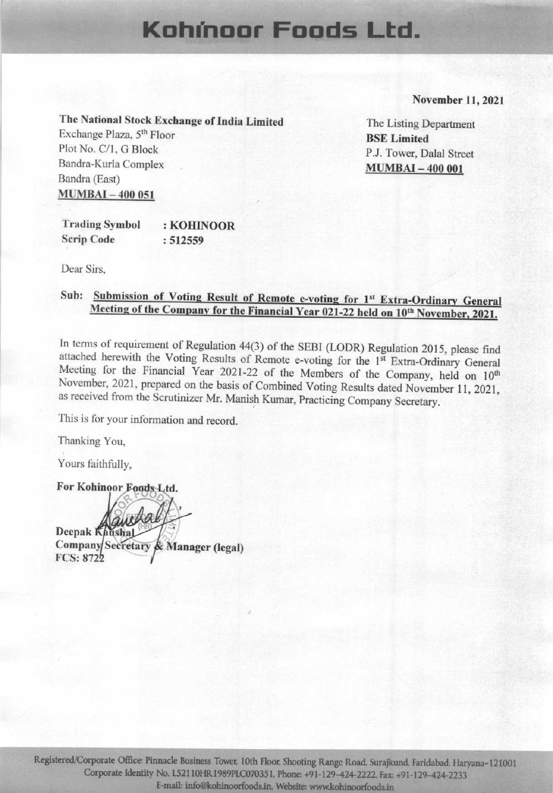# Kohínoor Foods Ltd.

#### November 11, 2021

The National Stock Exchange of India Limited Exchange Plaza, 5<sup>th</sup> Floor Plot No. C/1, G Block

Bandra-Kurla Complex Bandra (East) **MUMBAI-400 051** 

The Listing Department **BSE** Limited P.J. Tower, Dalal Street **MUMBAI-400 001** 

**Trading Symbol** : KOHINOOR **Scrip Code**  $: 512559$ 

Dear Sirs.

### Sub: Submission of Voting Result of Remote e-voting for 1st Extra-Ordinary General Meeting of the Company for the Financial Year 021-22 held on 10<sup>th</sup> November, 2021.

In terms of requirement of Regulation 44(3) of the SEBI (LODR) Regulation 2015, please find attached herewith the Voting Results of Remote e-voting for the 1st Extra-Ordinary General Meeting for the Financial Year 2021-22 of the Members of the Company, held on 10<sup>th</sup> November, 2021, prepared on the basis of Combined Voting Results dated November 11, 2021, as received from the Scrutinizer Mr. Manish Kumar, Practicing Company Secretary.

This is for your information and record.

Thanking You,

Yours faithfully.

For Kohinoor Foods-Ltd. Deepak Ranghal Company Secretary & Manager (legal) **FCS: 8722** 

Registered/Corporate Office: Pinnacle Business Tower, 10th Floor, Shooting Range Road, Surajkund, Faridabad, Haryana-121001 Corporate Identity No. L52110HR1989PLC070351, Phone: +91-129-424-2222, Fax: +91-129-424-2233 E-mail: info@kohinoorfoods.in, Website: www.kohinoorfoods.in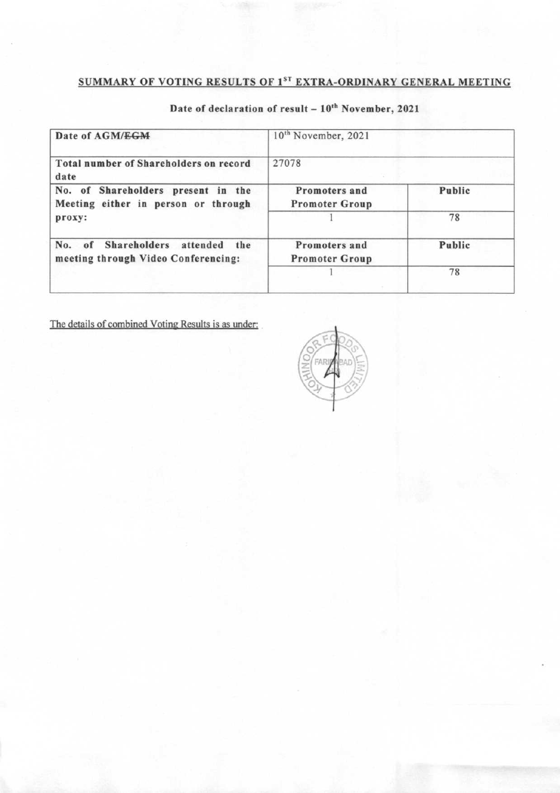#### SUMMARY OF VOTING RESULTS OF 1ST EXTRA-ORDINARY GENERAL MEETING

| Date of AGM/EGM                                                                                       | 10 <sup>th</sup> November, 2021        |        |  |  |  |  |  |
|-------------------------------------------------------------------------------------------------------|----------------------------------------|--------|--|--|--|--|--|
| Total number of Shareholders on record<br>date                                                        | 27078                                  |        |  |  |  |  |  |
| No. of Shareholders present in the<br>Meeting either in person or through                             | Promoters and<br><b>Promoter Group</b> | Public |  |  |  |  |  |
| proxy:                                                                                                |                                        | 78     |  |  |  |  |  |
| <b>Shareholders</b><br>No.<br>attended<br><sub>of</sub><br>the<br>meeting through Video Conferencing: | Promoters and<br><b>Promoter Group</b> | Public |  |  |  |  |  |
|                                                                                                       |                                        | 78     |  |  |  |  |  |

## Date of declaration of result  $-10^{th}$  November, 2021

The details of combined Voting Results is as under:

FAR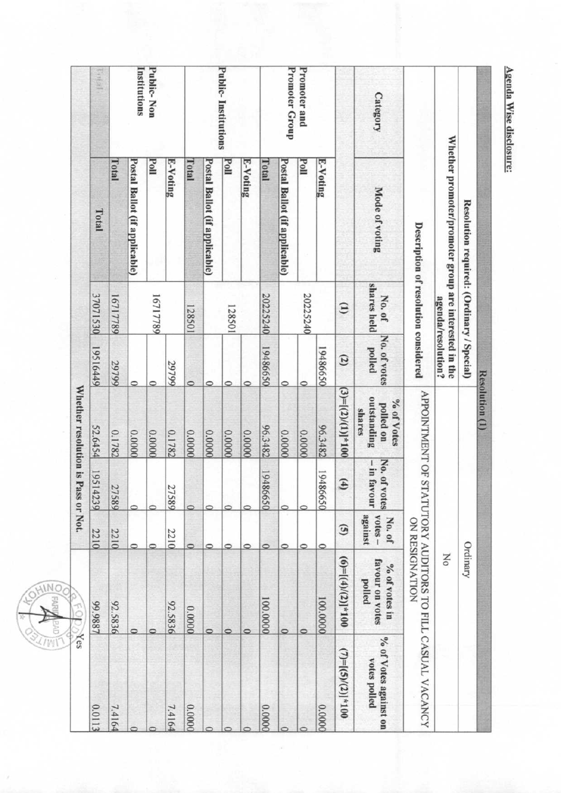|                                    | TASH13       | Public-Non<br>Institutions |                               |                  |          | Public-Institutions |                               |         | Promoter Group<br>Promoter and |          |                               |        | Category |                     |                                                  |                                                            |                                                       |                                           |                |
|------------------------------------|--------------|----------------------------|-------------------------------|------------------|----------|---------------------|-------------------------------|---------|--------------------------------|----------|-------------------------------|--------|----------|---------------------|--------------------------------------------------|------------------------------------------------------------|-------------------------------------------------------|-------------------------------------------|----------------|
| Whether resolution is Pass or Not. | Total        | Total                      | Postal Ballot (if applicable) | $_{\text{FeII}}$ | E-Voting | Total               | Postal Ballot (if applicable) | Poll    | E-Voting                       | Total    | Postal Ballot (if applicable) | Poll   | E-Voting |                     | Mode of voting                                   | Description of resolution considered                       | Whether promoter/promoter group are interested in the | Resolution required: (Ordinary / Special) |                |
|                                    | 37071530     | 16717789                   |                               | 16717789         |          |                     | 128501                        |         |                                | 20225240 | 20225240                      |        |          | $\widehat{c}$       | shares held<br>No. of                            |                                                            |                                                       |                                           |                |
|                                    | 19516449     | 29799                      | $\circ$                       | $\circ$          | 29799    | $\circ$             | 0                             | 0       | C                              | 19486650 | 0                             | ⊂      | 19486650 | $\left( 2 \right)$  | No. of votes<br>polled                           |                                                            | agenda/resolution?                                    |                                           |                |
|                                    | 52.6454      | 0.1782                     | 00000                         | 00000            | 0.1782   | 00000               | 0.0000                        | 0.0000  | 00000                          | 96.3482  | 00000                         | 0.0000 | 96.3482  | $(3)=[(2)/(1)]*100$ | outstanding<br>% of Votes<br>polled on<br>shares | APPOINTMENT OF S'                                          |                                                       |                                           | Resolution (1) |
|                                    | 195<br>14239 | 27589                      |                               | $\circ$          | 27589    | $\circ$             | 0                             | $\circ$ |                                | 19486650 |                               |        | 19486650 | $\mathbf{f}$        | No. of<br>$-$ in favour<br>votes                 | FATUTORY AUDITORS TO FILL CASUAL VACANCY<br>ON RESIGNATION |                                                       |                                           |                |
|                                    | 2210         | 2210                       |                               |                  | 2210     |                     |                               |         |                                |          | 0                             |        |          | $\mathfrak{D}$      | against<br>$yotes -$<br>No. of                   |                                                            |                                                       |                                           |                |
| Yes                                | 4886'66      | 92.5836                    |                               |                  | 92.5836  | 00000               |                               |         |                                | 100.0000 |                               |        | 100.0000 | $(6)=[(4)(2)]*100$  | favour on votes<br>$\%$ of votes in<br>polled    |                                                            | No                                                    | Ordinary                                  |                |
|                                    | 0.0113       | 7.4164                     |                               |                  | 7.4164   | 00000               |                               |         |                                | 00000    |                               |        | 00000    | $(7)=[(5)/(2)]*100$ | % of Votes against on<br>votes polled            |                                                            |                                                       |                                           |                |

**AIN** 

TW

Agenda Wise disclosure: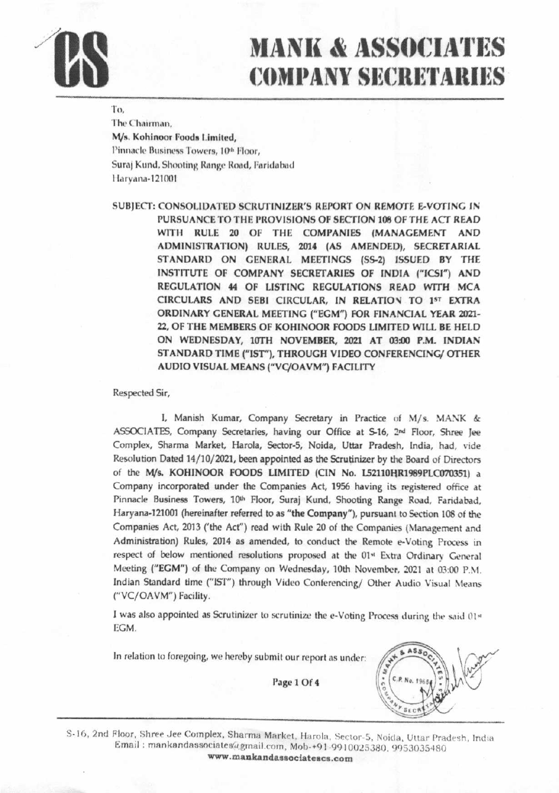

# **MANK & ASSOCIATES COMPANY SECRETARIES**

To. The Chairman, M/s. Kohinoor Foods Limited, Pinnacle Business Towers, 10th Floor, Suraj Kund, Shooting Range Road, Faridabad Haryana-121001

SUBJECT: CONSOLIDATED SCRUTINIZER'S REPORT ON REMOTE E-VOTING IN PURSUANCE TO THE PROVISIONS OF SECTION 108 OF THE ACT READ WITH RULE 20 OF THE COMPANIES (MANAGEMENT **AND** ADMINISTRATION) RULES, 2014 (AS AMENDED), SECRETARIAL STANDARD ON GENERAL MEETINGS (SS-2) ISSUED BY THE INSTITUTE OF COMPANY SECRETARIES OF INDIA ("ICSI") AND REGULATION 44 OF LISTING REGULATIONS READ WITH MCA CIRCULARS AND SEBI CIRCULAR, IN RELATION TO 15T EXTRA ORDINARY GENERAL MEETING ("EGM") FOR FINANCIAL YEAR 2021-22, OF THE MEMBERS OF KOHINOOR FOODS LIMITED WILL BE HELD ON WEDNESDAY, 10TH NOVEMBER, 2021 AT 03:00 P.M. INDIAN STANDARD TIME ("IST"), THROUGH VIDEO CONFERENCING/ OTHER AUDIO VISUAL MEANS ("VC/OAVM") FACILITY

Respected Sir,

I, Manish Kumar, Company Secretary in Practice of M/s. MANK & ASSOCIATES, Company Secretaries, having our Office at S-16, 2nd Floor, Shree Jee Complex, Sharma Market, Harola, Sector-5, Noida, Uttar Pradesh, India, had, vide Resolution Dated 14/10/2021, been appointed as the Scrutinizer by the Board of Directors of the M/s. KOHINOOR FOODS LIMITED (CIN No. L52110HR1989PLC070351) a Company incorporated under the Companies Act, 1956 having its registered office at Pinnacle Business Towers, 10<sup>th</sup> Floor, Suraj Kund, Shooting Range Road, Faridabad, Haryana-121001 (hereinafter referred to as "the Company"), pursuant to Section 108 of the Companies Act, 2013 ('the Act") read with Rule 20 of the Companies (Management and Administration) Rules, 2014 as amended, to conduct the Remote e-Voting Process in respect of below mentioned resolutions proposed at the 01<sup>st</sup> Extra Ordinary General Meeting ("EGM") of the Company on Wednesday, 10th November, 2021 at 03:00 P.M. Indian Standard time ("IST") through Video Conferencing/ Other Audio Visual Means ("VC/OAVM") Facility.

I was also appointed as Scrutinizer to scrutinize the e-Voting Process during the said 01st EGM.

In relation to foregoing, we hereby submit our report as under:

Page 1 Of 4



S-16, 2nd Floor, Shree Jee Complex, Sharma Market, Harola, Sector-5, Noida, Uttar Pradesh, India Email: mankandassociates@gmail.com, Mob-+91-9910025380, 9953035480 www.mankandassociatescs.com